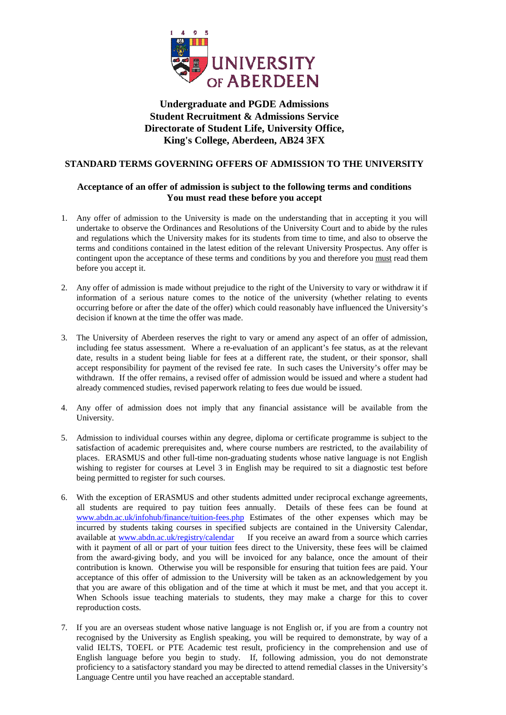

## **Undergraduate and PGDE Admissions Student Recruitment & Admissions Service Directorate of Student Life, University Office, King's College, Aberdeen, AB24 3FX**

## **STANDARD TERMS GOVERNING OFFERS OF ADMISSION TO THE UNIVERSITY**

## **Acceptance of an offer of admission is subject to the following terms and conditions You must read these before you accept**

- 1. Any offer of admission to the University is made on the understanding that in accepting it you will undertake to observe the Ordinances and Resolutions of the University Court and to abide by the rules and regulations which the University makes for its students from time to time, and also to observe the terms and conditions contained in the latest edition of the relevant University Prospectus. Any offer is contingent upon the acceptance of these terms and conditions by you and therefore you must read them before you accept it.
- 2. Any offer of admission is made without prejudice to the right of the University to vary or withdraw it if information of a serious nature comes to the notice of the university (whether relating to events occurring before or after the date of the offer) which could reasonably have influenced the University's decision if known at the time the offer was made.
- 3. The University of Aberdeen reserves the right to vary or amend any aspect of an offer of admission, including fee status assessment. Where a re-evaluation of an applicant's fee status, as at the relevant date, results in a student being liable for fees at a different rate, the student, or their sponsor, shall accept responsibility for payment of the revised fee rate. In such cases the University's offer may be withdrawn. If the offer remains, a revised offer of admission would be issued and where a student had already commenced studies, revised paperwork relating to fees due would be issued.
- 4. Any offer of admission does not imply that any financial assistance will be available from the University.
- 5. Admission to individual courses within any degree, diploma or certificate programme is subject to the satisfaction of academic prerequisites and, where course numbers are restricted, to the availability of places. ERASMUS and other full-time non-graduating students whose native language is not English wishing to register for courses at Level 3 in English may be required to sit a diagnostic test before being permitted to register for such courses.
- 6. With the exception of ERASMUS and other students admitted under reciprocal exchange agreements, all students are required to pay tuition fees annually. Details of these fees can be found at [www.abdn.ac.uk/infohub/finance/tuition-fees.php](http://www.abdn.ac.uk/infohub/finance/tuition-fees.php) Estimates of the other expenses which may be incurred by students taking courses in specified subjects are contained in the University Calendar, available at [www.abdn.ac.uk/registry/calendar](http://www.abdn.ac.uk/registry/calendar) If you receive an award from a source which carries with it payment of all or part of your tuition fees direct to the University, these fees will be claimed from the award-giving body, and you will be invoiced for any balance, once the amount of their contribution is known. Otherwise you will be responsible for ensuring that tuition fees are paid. Your acceptance of this offer of admission to the University will be taken as an acknowledgement by you that you are aware of this obligation and of the time at which it must be met, and that you accept it. When Schools issue teaching materials to students, they may make a charge for this to cover reproduction costs.
- 7. If you are an overseas student whose native language is not English or, if you are from a country not recognised by the University as English speaking, you will be required to demonstrate, by way of a valid IELTS, TOEFL or PTE Academic test result, proficiency in the comprehension and use of English language before you begin to study. If, following admission, you do not demonstrate proficiency to a satisfactory standard you may be directed to attend remedial classes in the University's Language Centre until you have reached an acceptable standard.